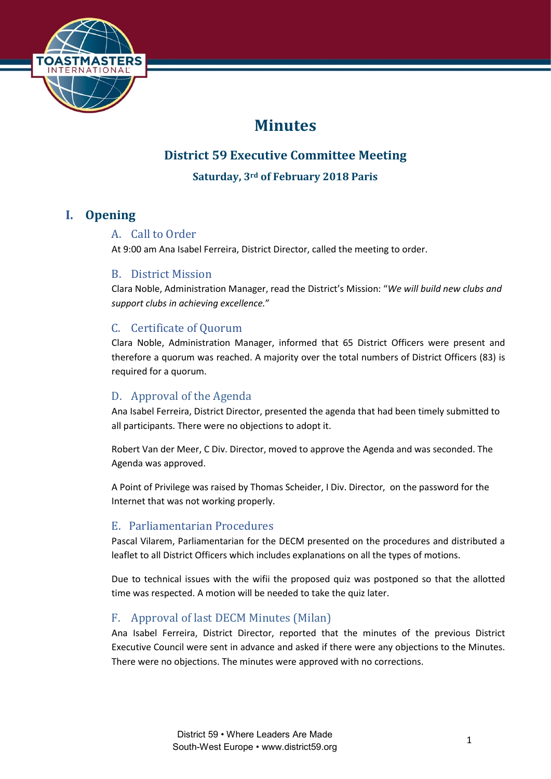

# **Minutes**

## **District 59 Executive Committee Meeting**

**Saturday, 3rd of February 2018 Paris**

## **I. Opening**

## A. Call to Order

At 9:00 am Ana Isabel Ferreira, District Director, called the meeting to order.

### B. District Mission

Clara Noble, Administration Manager, read the District's Mission: "*We will build new clubs and support clubs in achieving excellence.*"

## C. Certificate of Quorum

Clara Noble, Administration Manager, informed that 65 District Officers were present and therefore a quorum was reached. A majority over the total numbers of District Officers (83) is required for a quorum.

## D. Approval of the Agenda

Ana Isabel Ferreira, District Director, presented the agenda that had been timely submitted to all participants. There were no objections to adopt it.

Robert Van der Meer, C Div. Director, moved to approve the Agenda and was seconded. The Agenda was approved.

A Point of Privilege was raised by Thomas Scheider, I Div. Director, on the password for the Internet that was not working properly.

## E. Parliamentarian Procedures

Pascal Vilarem, Parliamentarian for the DECM presented on the procedures and distributed a leaflet to all District Officers which includes explanations on all the types of motions.

Due to technical issues with the wifii the proposed quiz was postponed so that the allotted time was respected. A motion will be needed to take the quiz later.

## F. Approval of last DECM Minutes (Milan)

Ana Isabel Ferreira, District Director, reported that the minutes of the previous District Executive Council were sent in advance and asked if there were any objections to the Minutes. There were no objections. The minutes were approved with no corrections.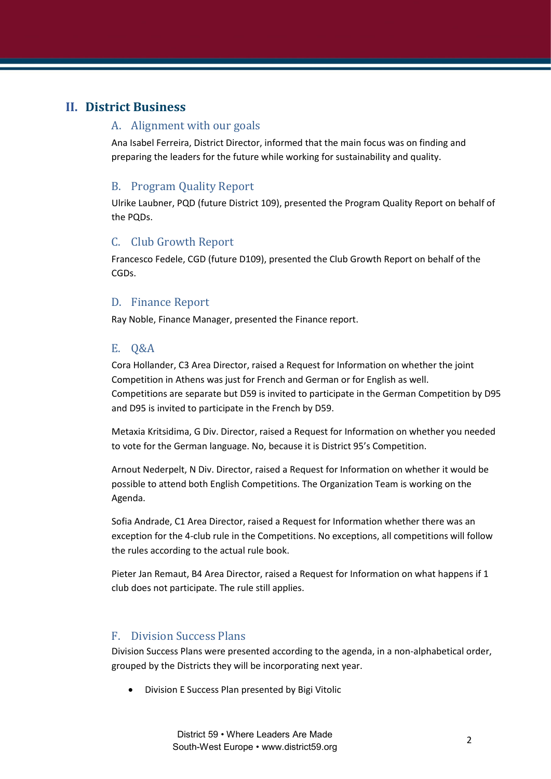## **II. District Business**

#### A. Alignment with our goals

Ana Isabel Ferreira, District Director, informed that the main focus was on finding and preparing the leaders for the future while working for sustainability and quality.

### B. Program Quality Report

Ulrike Laubner, PQD (future District 109), presented the Program Quality Report on behalf of the PQDs.

### C. Club Growth Report

Francesco Fedele, CGD (future D109), presented the Club Growth Report on behalf of the CGDs.

#### D. Finance Report

Ray Noble, Finance Manager, presented the Finance report.

### E. Q&A

Cora Hollander, C3 Area Director, raised a Request for Information on whether the joint Competition in Athens was just for French and German or for English as well. Competitions are separate but D59 is invited to participate in the German Competition by D95 and D95 is invited to participate in the French by D59.

Metaxia Kritsidima, G Div. Director, raised a Request for Information on whether you needed to vote for the German language. No, because it is District 95's Competition.

Arnout Nederpelt, N Div. Director, raised a Request for Information on whether it would be possible to attend both English Competitions. The Organization Team is working on the Agenda.

Sofia Andrade, C1 Area Director, raised a Request for Information whether there was an exception for the 4-club rule in the Competitions. No exceptions, all competitions will follow the rules according to the actual rule book.

Pieter Jan Remaut, B4 Area Director, raised a Request for Information on what happens if 1 club does not participate. The rule still applies.

#### F. Division Success Plans

Division Success Plans were presented according to the agenda, in a non-alphabetical order, grouped by the Districts they will be incorporating next year.

• Division E Success Plan presented by Bigi Vitolic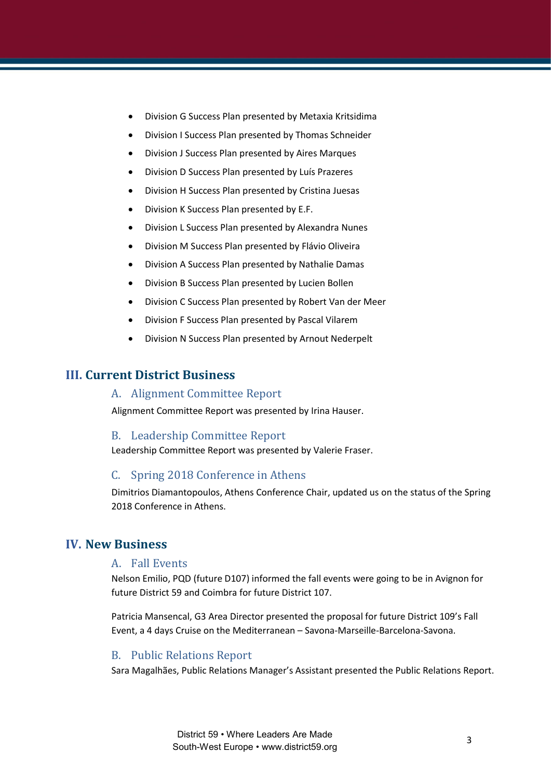- Division G Success Plan presented by Metaxia Kritsidima
- Division I Success Plan presented by Thomas Schneider
- Division J Success Plan presented by Aires Marques
- Division D Success Plan presented by Luís Prazeres
- Division H Success Plan presented by Cristina Juesas
- Division K Success Plan presented by E.F.
- Division L Success Plan presented by Alexandra Nunes
- Division M Success Plan presented by Flávio Oliveira
- Division A Success Plan presented by Nathalie Damas
- Division B Success Plan presented by Lucien Bollen
- Division C Success Plan presented by Robert Van der Meer
- Division F Success Plan presented by Pascal Vilarem
- Division N Success Plan presented by Arnout Nederpelt

### **III. Current District Business**

#### A. Alignment Committee Report

Alignment Committee Report was presented by Irina Hauser.

#### B. Leadership Committee Report

Leadership Committee Report was presented by Valerie Fraser.

#### C. Spring 2018 Conference in Athens

Dimitrios Diamantopoulos, Athens Conference Chair, updated us on the status of the Spring 2018 Conference in Athens.

## **IV. New Business**

#### A. Fall Events

Nelson Emilio, PQD (future D107) informed the fall events were going to be in Avignon for future District 59 and Coimbra for future District 107.

Patricia Mansencal, G3 Area Director presented the proposal for future District 109's Fall Event, a 4 days Cruise on the Mediterranean – Savona-Marseille-Barcelona-Savona.

#### B. Public Relations Report

Sara Magalhães, Public Relations Manager's Assistant presented the Public Relations Report.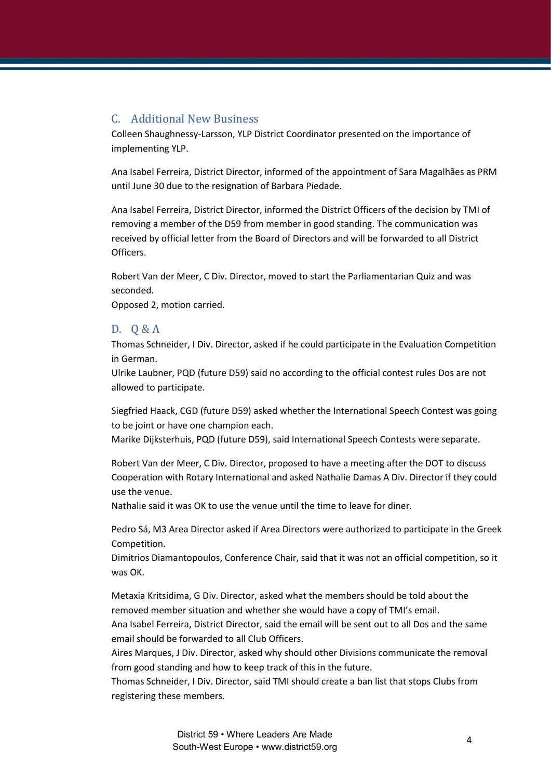### C. Additional New Business

Colleen Shaughnessy-Larsson, YLP District Coordinator presented on the importance of implementing YLP.

Ana Isabel Ferreira, District Director, informed of the appointment of Sara Magalhães as PRM until June 30 due to the resignation of Barbara Piedade.

Ana Isabel Ferreira, District Director, informed the District Officers of the decision by TMI of removing a member of the D59 from member in good standing. The communication was received by official letter from the Board of Directors and will be forwarded to all District Officers.

Robert Van der Meer, C Div. Director, moved to start the Parliamentarian Quiz and was seconded.

Opposed 2, motion carried.

#### D. Q & A

Thomas Schneider, I Div. Director, asked if he could participate in the Evaluation Competition in German.

Ulrike Laubner, PQD (future D59) said no according to the official contest rules Dos are not allowed to participate.

Siegfried Haack, CGD (future D59) asked whether the International Speech Contest was going to be joint or have one champion each.

Marike Dijksterhuis, PQD (future D59), said International Speech Contests were separate.

Robert Van der Meer, C Div. Director, proposed to have a meeting after the DOT to discuss Cooperation with Rotary International and asked Nathalie Damas A Div. Director if they could use the venue.

Nathalie said it was OK to use the venue until the time to leave for diner.

Pedro Sá, M3 Area Director asked if Area Directors were authorized to participate in the Greek Competition.

Dimitrios Diamantopoulos, Conference Chair, said that it was not an official competition, so it was OK.

Metaxia Kritsidima, G Div. Director, asked what the members should be told about the removed member situation and whether she would have a copy of TMI's email.

Ana Isabel Ferreira, District Director, said the email will be sent out to all Dos and the same email should be forwarded to all Club Officers.

Aires Marques, J Div. Director, asked why should other Divisions communicate the removal from good standing and how to keep track of this in the future.

Thomas Schneider, I Div. Director, said TMI should create a ban list that stops Clubs from registering these members.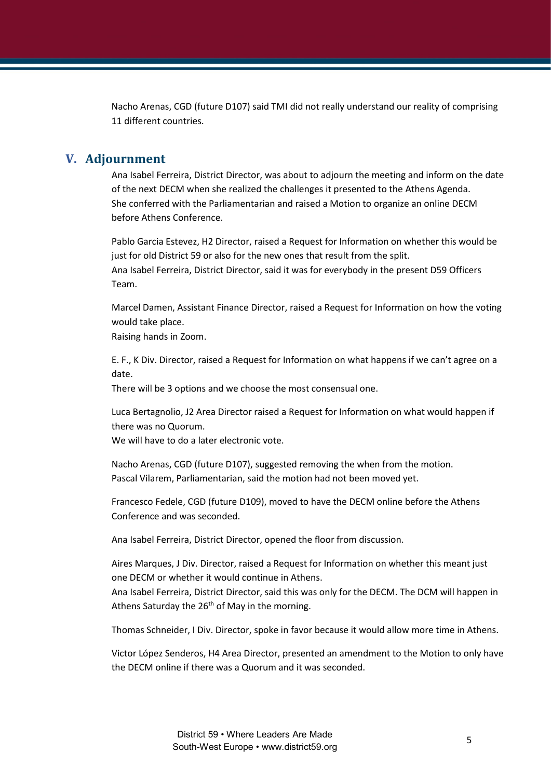Nacho Arenas, CGD (future D107) said TMI did not really understand our reality of comprising 11 different countries.

#### **V. Adjournment**

Ana Isabel Ferreira, District Director, was about to adjourn the meeting and inform on the date of the next DECM when she realized the challenges it presented to the Athens Agenda. She conferred with the Parliamentarian and raised a Motion to organize an online DECM before Athens Conference.

Pablo Garcia Estevez, H2 Director, raised a Request for Information on whether this would be just for old District 59 or also for the new ones that result from the split. Ana Isabel Ferreira, District Director, said it was for everybody in the present D59 Officers Team.

Marcel Damen, Assistant Finance Director, raised a Request for Information on how the voting would take place.

Raising hands in Zoom.

E. F., K Div. Director, raised a Request for Information on what happens if we can't agree on a date.

There will be 3 options and we choose the most consensual one.

Luca Bertagnolio, J2 Area Director raised a Request for Information on what would happen if there was no Quorum.

We will have to do a later electronic vote.

Nacho Arenas, CGD (future D107), suggested removing the when from the motion. Pascal Vilarem, Parliamentarian, said the motion had not been moved yet.

Francesco Fedele, CGD (future D109), moved to have the DECM online before the Athens Conference and was seconded.

Ana Isabel Ferreira, District Director, opened the floor from discussion.

Aires Marques, J Div. Director, raised a Request for Information on whether this meant just one DECM or whether it would continue in Athens.

Ana Isabel Ferreira, District Director, said this was only for the DECM. The DCM will happen in Athens Saturday the 26<sup>th</sup> of May in the morning.

Thomas Schneider, I Div. Director, spoke in favor because it would allow more time in Athens.

Victor López Senderos, H4 Area Director, presented an amendment to the Motion to only have the DECM online if there was a Quorum and it was seconded.